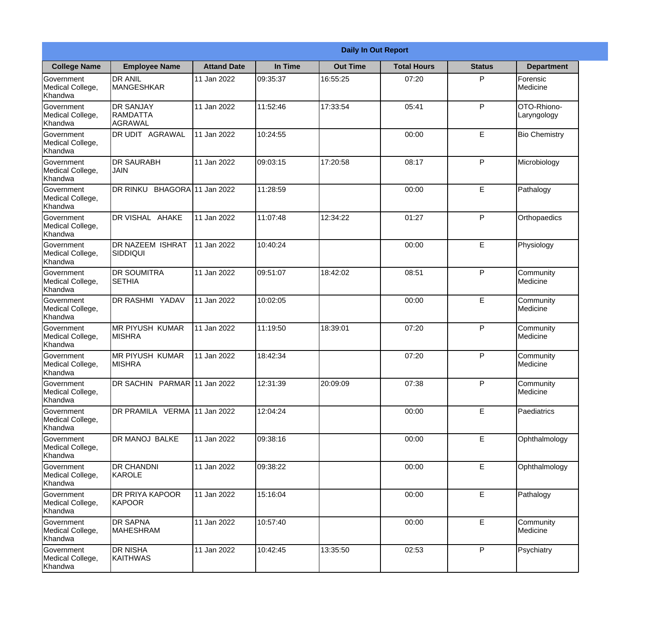|                                                  |                                                       |                     |          | <b>Daily In Out Report</b> |                    |               |                            |  |
|--------------------------------------------------|-------------------------------------------------------|---------------------|----------|----------------------------|--------------------|---------------|----------------------------|--|
| <b>College Name</b>                              | <b>Employee Name</b>                                  | <b>Attand Date</b>  | In Time  | <b>Out Time</b>            | <b>Total Hours</b> | <b>Status</b> | <b>Department</b>          |  |
| Government<br>Medical College,<br>Khandwa        | <b>DR ANIL</b><br>MANGESHKAR                          | 11 Jan 2022         | 09:35:37 | 16:55:25                   | 07:20              | P             | Forensic<br>Medicine       |  |
| Government<br>Medical College,<br>Khandwa        | <b>DR SANJAY</b><br><b>RAMDATTA</b><br><b>AGRAWAL</b> | 11 Jan 2022         | 11:52:46 | 17:33:54                   | 05:41              | P             | OTO-Rhiono-<br>Laryngology |  |
| Government<br>Medical College,<br>Khandwa        | DR UDIT AGRAWAL                                       | 11 Jan 2022         | 10:24:55 |                            | 00:00              | E             | <b>Bio Chemistry</b>       |  |
| Government<br>Medical College,<br>Khandwa        | <b>DR SAURABH</b><br><b>JAIN</b>                      | 11 Jan 2022         | 09:03:15 | 17:20:58                   | 08:17              | P             | Microbiology               |  |
| Government<br>Medical College,<br>Khandwa        | DR RINKU                                              | BHAGORA 11 Jan 2022 | 11:28:59 |                            | 00:00              | E             | Pathalogy                  |  |
| <b>Government</b><br>Medical College,<br>Khandwa | DR VISHAL AHAKE                                       | 11 Jan 2022         | 11:07:48 | 12:34:22                   | 01:27              | P             | Orthopaedics               |  |
| Government<br>Medical College,<br>Khandwa        | DR NAZEEM ISHRAT<br><b>SIDDIQUI</b>                   | 11 Jan 2022         | 10:40:24 |                            | 00:00              | E             | Physiology                 |  |
| Government<br>Medical College,<br>Khandwa        | DR SOUMITRA<br><b>SETHIA</b>                          | 11 Jan 2022         | 09:51:07 | 18:42:02                   | 08:51              | P             | Community<br>Medicine      |  |
| Government<br>Medical College,<br>Khandwa        | <b>DR RASHMI YADAV</b>                                | 11 Jan 2022         | 10:02:05 |                            | 00:00              | E             | Community<br>Medicine      |  |
| Government<br>Medical College,<br>Khandwa        | <b>MR PIYUSH KUMAR</b><br><b>MISHRA</b>               | 11 Jan 2022         | 11:19:50 | 18:39:01                   | 07:20              | P             | Community<br>Medicine      |  |
| Government<br>Medical College,<br>Khandwa        | <b>MR PIYUSH KUMAR</b><br><b>MISHRA</b>               | 11 Jan 2022         | 18:42:34 |                            | 07:20              | P             | Community<br>Medicine      |  |
| Government<br>Medical College,<br>Khandwa        | DR SACHIN PARMAR 11 Jan 2022                          |                     | 12:31:39 | 20:09:09                   | 07:38              | P             | Community<br>Medicine      |  |
| Government<br>Medical College,<br>Khandwa        | DR PRAMILA VERMA 11 Jan 2022                          |                     | 12:04:24 |                            | 00:00              | E             | Paediatrics                |  |
| Government<br>Medical College,<br>Khandwa        | DR MANOJ BALKE                                        | 11 Jan 2022         | 09:38:16 |                            | 00:00              | E             | Ophthalmology              |  |
| Government<br>Medical College,<br>Khandwa        | DR CHANDNI<br><b>KAROLE</b>                           | 11 Jan 2022         | 09:38:22 |                            | 00:00              | E             | Ophthalmology              |  |
| Government<br>Medical College,<br>Khandwa        | DR PRIYA KAPOOR<br>KAPOOR                             | 11 Jan 2022         | 15:16:04 |                            | 00:00              | $\mathsf E$   | Pathalogy                  |  |
| Government<br>Medical College,<br>Khandwa        | <b>DR SAPNA</b><br><b>MAHESHRAM</b>                   | 11 Jan 2022         | 10:57:40 |                            | 00:00              | E             | Community<br>Medicine      |  |
| Government<br>Medical College,<br>Khandwa        | DR NISHA<br><b>KAITHWAS</b>                           | 11 Jan 2022         | 10:42:45 | 13:35:50                   | 02:53              | P             | Psychiatry                 |  |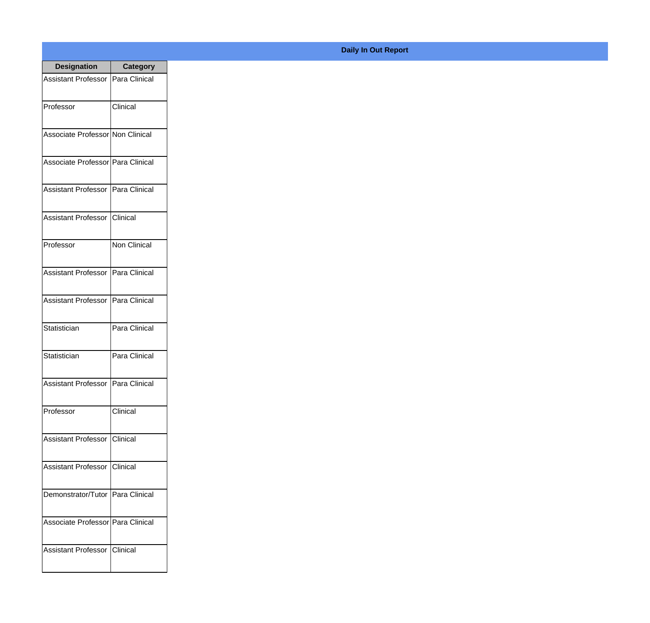| <b>Designation</b>                  | <b>Category</b> |
|-------------------------------------|-----------------|
| <b>Assistant Professor</b>          | Para Clinical   |
| Professor                           | Clinical        |
| Associate Professor Non Clinical    |                 |
| Associate Professor Para Clinical   |                 |
| <b>Assistant Professor</b>          | Para Clinical   |
| <b>Assistant Professor</b>          | <b>Clinical</b> |
| Professor                           | Non Clinical    |
| Assistant Professor   Para Clinical |                 |
| <b>Assistant Professor</b>          | Para Clinical   |
| Statistician                        | Para Clinical   |
| Statistician                        | Para Clinical   |
| Assistant Professor   Para Clinical |                 |
| Professor                           | Clinical        |
| Assistant Professor   Clinical      |                 |
| Assistant Professor   Clinical      |                 |
| Demonstrator/Tutor   Para Clinical  |                 |
| Associate Professor   Para Clinical |                 |
| <b>Assistant Professor</b>          | <b>Clinical</b> |

## **Daily In Out Report**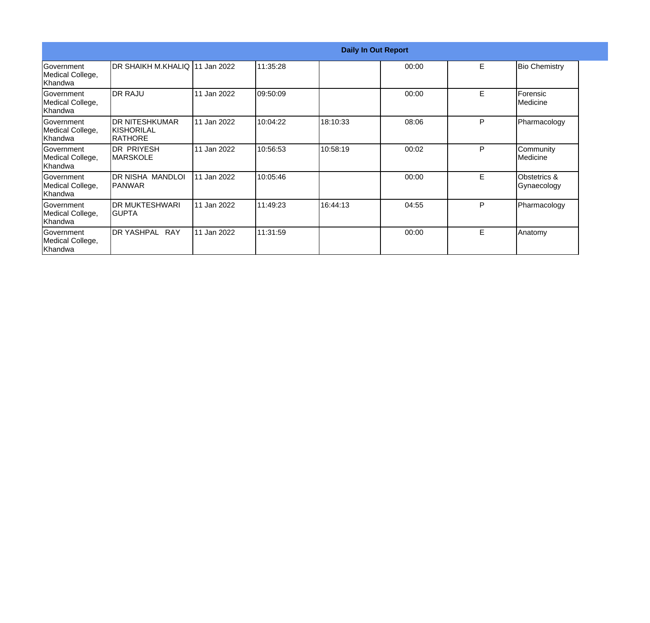|                                                  |                                                         |             |          | <b>Daily In Out Report</b> |       |   |                             |
|--------------------------------------------------|---------------------------------------------------------|-------------|----------|----------------------------|-------|---|-----------------------------|
| Government<br>Medical College,<br>lKhandwa       | DR SHAIKH M.KHALIQ 11 Jan 2022                          |             | 11:35:28 |                            | 00:00 | E | <b>Bio Chemistry</b>        |
| <b>Government</b><br>Medical College,<br>Khandwa | <b>DR RAJU</b>                                          | 11 Jan 2022 | 09:50:09 |                            | 00:00 | E | Forensic<br>Medicine        |
| Government<br>Medical College,<br>Khandwa        | <b>DR NITESHKUMAR</b><br>IKISHORILAL<br><b>IRATHORE</b> | 11 Jan 2022 | 10:04:22 | 18:10:33                   | 08:06 | P | Pharmacology                |
| Government<br>Medical College,<br>Khandwa        | DR PRIYESH<br>IMARSKOLE                                 | 11 Jan 2022 | 10:56:53 | 10:58:19                   | 00:02 | P | Community<br>Medicine       |
| Government<br>Medical College,<br>Khandwa        | DR NISHA MANDLOI<br> PANWAR                             | 11 Jan 2022 | 10:05:46 |                            | 00:00 | E | Obstetrics &<br>Gynaecology |
| <b>Government</b><br>Medical College,<br>Khandwa | IDR MUKTESHWARI<br>IGUPTA                               | 11 Jan 2022 | 11:49:23 | 16:44:13                   | 04:55 | P | Pharmacology                |
| Government<br>Medical College,<br>Khandwa        | DR YASHPAL<br><b>RAY</b>                                | 11 Jan 2022 | 11:31:59 |                            | 00:00 | E | Anatomy                     |